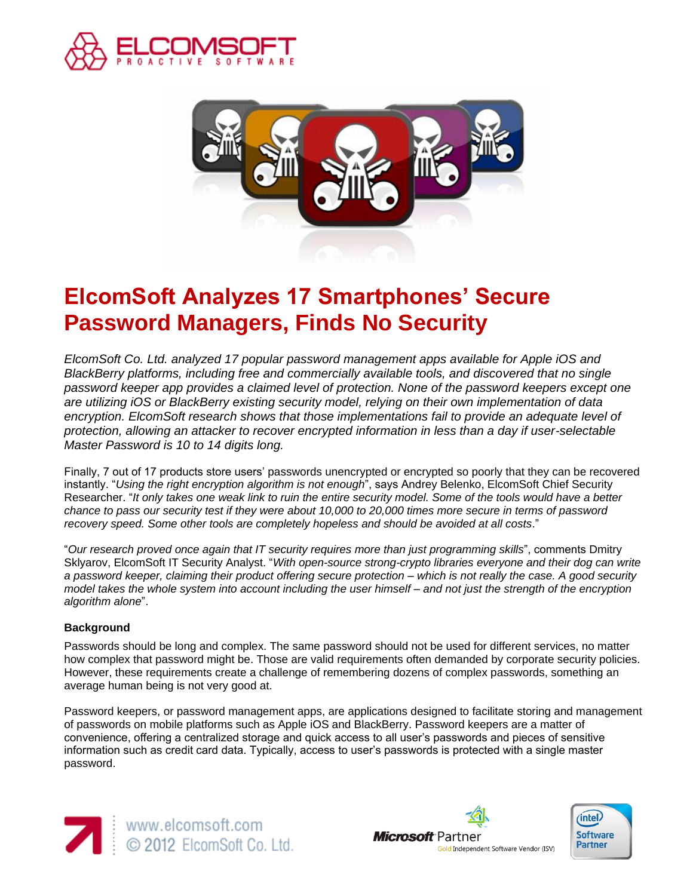



# **ElcomSoft Analyzes 17 Smartphones' Secure Password Managers, Finds No Security**

*ElcomSoft Co. Ltd. analyzed 17 popular password management apps available for Apple iOS and BlackBerry platforms, including free and commercially available tools, and discovered that no single password keeper app provides a claimed level of protection. None of the password keepers except one are utilizing iOS or BlackBerry existing security model, relying on their own implementation of data encryption. ElcomSoft research shows that those implementations fail to provide an adequate level of protection, allowing an attacker to recover encrypted information in less than a day if user-selectable Master Password is 10 to 14 digits long.* 

Finally, 7 out of 17 products store users' passwords unencrypted or encrypted so poorly that they can be recovered instantly. "*Using the right encryption algorithm is not enough*", says Andrey Belenko, ElcomSoft Chief Security Researcher. "*It only takes one weak link to ruin the entire security model. Some of the tools would have a better chance to pass our security test if they were about 10,000 to 20,000 times more secure in terms of password recovery speed. Some other tools are completely hopeless and should be avoided at all costs*."

"*Our research proved once again that IT security requires more than just programming skills*", comments Dmitry Sklyarov, ElcomSoft IT Security Analyst. "*With open-source strong-crypto libraries everyone and their dog can write a password keeper, claiming their product offering secure protection – which is not really the case. A good security model takes the whole system into account including the user himself – and not just the strength of the encryption algorithm alone*".

# **Background**

Passwords should be long and complex. The same password should not be used for different services, no matter how complex that password might be. Those are valid requirements often demanded by corporate security policies. However, these requirements create a challenge of remembering dozens of complex passwords, something an average human being is not very good at.

Password keepers, or password management apps, are applications designed to facilitate storing and management of passwords on mobile platforms such as Apple iOS and BlackBerry. Password keepers are a matter of convenience, offering a centralized storage and quick access to all user's passwords and pieces of sensitive information such as credit card data. Typically, access to user's passwords is protected with a single master password.